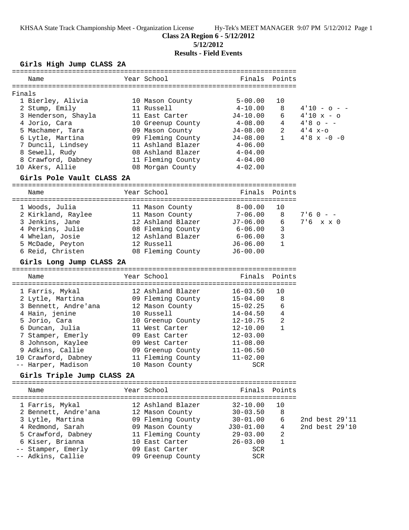KHSAA State Track Championship Meet - Organization License Hy-Tek's MEET MANAGER 9:07 PM 5/12/2012 Page 1

**Class 2A Region 6 - 5/12/2012**

**5/12/2012**

# **Results - Field Events**

#### **Girls High Jump CLASS 2A**

| Year School<br>Finals Points<br>Name<br>Finals<br>1 Bierley, Alivia<br>10 Mason County<br>$5 - 00.00$<br>10<br>8<br>2 Stump, Emily<br>11 Russell<br>4-10.00<br>$4'10 - 0 -$<br>3 Henderson, Shayla<br>$J4 - 10.00$<br>11 East Carter<br>6<br>$4'10 \times -0$<br>4 Jorio, Cara<br>$4 - 08.00$<br>$4'8$ o - -<br>10 Greenup County<br>4<br>2<br>5 Machamer, Tara<br>09 Mason County<br>$J4-08.00$<br>$4'4 x-o$<br>6 Lytle, Martina<br>09 Fleming County<br>$\mathbf{1}$<br>$4'8 \times -0 -0$<br>$J4-08.00$<br>7 Duncil, Lindsey<br>11 Ashland Blazer<br>4-06.00<br>8 Sewell, Rudy<br>08 Ashland Blazer<br>4-04.00<br>8 Crawford, Dabney<br>11 Fleming County<br>$4 - 04.00$<br>10 Akers, Allie<br>08 Morgan County<br>$4 - 02.00$<br>Girls Pole Vault CLASS 2A<br>Year School<br>Finals Points<br>Name<br>1 Woods, Julia<br>$8 - 00.00$<br>10<br>11 Mason County<br>2 Kirkland, Raylee<br>$7 - 06.00$<br>8<br>11 Mason County<br>$7.60 - -$<br>3 Jenkins, Jane<br>12 Ashland Blazer<br>$7.6 \times x 0$<br>$J7-06.00$<br>6<br>4 Perkins, Julie<br>3<br>08 Fleming County<br>6-06.00<br>3<br>4 Whelan, Josie<br>12 Ashland Blazer<br>6-06.00<br>$\mathbf{1}$<br>5 McDade, Peyton<br>12 Russell<br>$J6 - 06.00$<br>6 Reid, Christen<br>08 Fleming County<br>$J6-00.00$<br>Girls Long Jump CLASS 2A<br>Finals Points<br>Year School<br>Name<br>1 Farris, Mykal<br>12 Ashland Blazer<br>$16 - 03.50$<br>10<br>2 Lytle, Martina<br>09 Fleming County<br>$15 - 04.00$<br>8<br>3 Bennett, Andre'ana<br>12 Mason County<br>$15 - 02.25$<br>6<br>4 Hain, jenine<br>10 Russell<br>4<br>$14 - 04.50$<br>2<br>5 Jorio, Cara<br>$12 - 10.75$<br>10 Greenup County<br>$\mathbf{1}$<br>6 Duncan, Julia<br>11 West Carter<br>$12 - 10.00$<br>7 Stamper, Emerly<br>09 East Carter<br>$12 - 03.00$<br>8 Johnson, Kaylee<br>09 West Carter<br>$11 - 08.00$<br>9 Adkins, Callie<br>09 Greenup County<br>$11 - 06.50$<br>10 Crawford, Dabney<br>11 Fleming County<br>$11 - 02.00$<br>-- Harper, Madison<br>10 Mason County<br>SCR<br>Girls Triple Jump CLASS 2A<br>Year School<br>Finals Points<br>Name<br>12 Ashland Blazer<br>$32 - 10.00$<br>10<br>1 Farris, Mykal<br>8<br>2 Bennett, Andre'ana<br>$30 - 03.50$<br>12 Mason County<br>3 Lytle, Martina<br>09 Fleming County<br>$30 - 01.00$<br>6<br>2nd best 29'11<br>2nd best 29'10<br>4 Redmond, Sarah<br>09 Mason County<br>$J30-01.00$<br>4<br>5 Crawford, Dabney<br>11 Fleming County<br>$29 - 03.00$<br>2<br>$\mathbf{1}$<br>6 Kiser, Brianna<br>10 East Carter<br>$26 - 03.00$<br>-- Stamper, Emerly<br>09 East Carter<br>SCR<br>-- Adkins, Callie<br>09 Greenup County<br><b>SCR</b> |  |  |  |  |
|----------------------------------------------------------------------------------------------------------------------------------------------------------------------------------------------------------------------------------------------------------------------------------------------------------------------------------------------------------------------------------------------------------------------------------------------------------------------------------------------------------------------------------------------------------------------------------------------------------------------------------------------------------------------------------------------------------------------------------------------------------------------------------------------------------------------------------------------------------------------------------------------------------------------------------------------------------------------------------------------------------------------------------------------------------------------------------------------------------------------------------------------------------------------------------------------------------------------------------------------------------------------------------------------------------------------------------------------------------------------------------------------------------------------------------------------------------------------------------------------------------------------------------------------------------------------------------------------------------------------------------------------------------------------------------------------------------------------------------------------------------------------------------------------------------------------------------------------------------------------------------------------------------------------------------------------------------------------------------------------------------------------------------------------------------------------------------------------------------------------------------------------------------------------------------------------------------------------------------------------------------------------------------------------------------------------------------------------------------------------------------------------------------------------------------------------------------------------------------------------------------------------------------------------------------------------------------------------------------------------------|--|--|--|--|
|                                                                                                                                                                                                                                                                                                                                                                                                                                                                                                                                                                                                                                                                                                                                                                                                                                                                                                                                                                                                                                                                                                                                                                                                                                                                                                                                                                                                                                                                                                                                                                                                                                                                                                                                                                                                                                                                                                                                                                                                                                                                                                                                                                                                                                                                                                                                                                                                                                                                                                                                                                                                                            |  |  |  |  |
|                                                                                                                                                                                                                                                                                                                                                                                                                                                                                                                                                                                                                                                                                                                                                                                                                                                                                                                                                                                                                                                                                                                                                                                                                                                                                                                                                                                                                                                                                                                                                                                                                                                                                                                                                                                                                                                                                                                                                                                                                                                                                                                                                                                                                                                                                                                                                                                                                                                                                                                                                                                                                            |  |  |  |  |
|                                                                                                                                                                                                                                                                                                                                                                                                                                                                                                                                                                                                                                                                                                                                                                                                                                                                                                                                                                                                                                                                                                                                                                                                                                                                                                                                                                                                                                                                                                                                                                                                                                                                                                                                                                                                                                                                                                                                                                                                                                                                                                                                                                                                                                                                                                                                                                                                                                                                                                                                                                                                                            |  |  |  |  |
|                                                                                                                                                                                                                                                                                                                                                                                                                                                                                                                                                                                                                                                                                                                                                                                                                                                                                                                                                                                                                                                                                                                                                                                                                                                                                                                                                                                                                                                                                                                                                                                                                                                                                                                                                                                                                                                                                                                                                                                                                                                                                                                                                                                                                                                                                                                                                                                                                                                                                                                                                                                                                            |  |  |  |  |
|                                                                                                                                                                                                                                                                                                                                                                                                                                                                                                                                                                                                                                                                                                                                                                                                                                                                                                                                                                                                                                                                                                                                                                                                                                                                                                                                                                                                                                                                                                                                                                                                                                                                                                                                                                                                                                                                                                                                                                                                                                                                                                                                                                                                                                                                                                                                                                                                                                                                                                                                                                                                                            |  |  |  |  |
|                                                                                                                                                                                                                                                                                                                                                                                                                                                                                                                                                                                                                                                                                                                                                                                                                                                                                                                                                                                                                                                                                                                                                                                                                                                                                                                                                                                                                                                                                                                                                                                                                                                                                                                                                                                                                                                                                                                                                                                                                                                                                                                                                                                                                                                                                                                                                                                                                                                                                                                                                                                                                            |  |  |  |  |
|                                                                                                                                                                                                                                                                                                                                                                                                                                                                                                                                                                                                                                                                                                                                                                                                                                                                                                                                                                                                                                                                                                                                                                                                                                                                                                                                                                                                                                                                                                                                                                                                                                                                                                                                                                                                                                                                                                                                                                                                                                                                                                                                                                                                                                                                                                                                                                                                                                                                                                                                                                                                                            |  |  |  |  |
|                                                                                                                                                                                                                                                                                                                                                                                                                                                                                                                                                                                                                                                                                                                                                                                                                                                                                                                                                                                                                                                                                                                                                                                                                                                                                                                                                                                                                                                                                                                                                                                                                                                                                                                                                                                                                                                                                                                                                                                                                                                                                                                                                                                                                                                                                                                                                                                                                                                                                                                                                                                                                            |  |  |  |  |
|                                                                                                                                                                                                                                                                                                                                                                                                                                                                                                                                                                                                                                                                                                                                                                                                                                                                                                                                                                                                                                                                                                                                                                                                                                                                                                                                                                                                                                                                                                                                                                                                                                                                                                                                                                                                                                                                                                                                                                                                                                                                                                                                                                                                                                                                                                                                                                                                                                                                                                                                                                                                                            |  |  |  |  |
|                                                                                                                                                                                                                                                                                                                                                                                                                                                                                                                                                                                                                                                                                                                                                                                                                                                                                                                                                                                                                                                                                                                                                                                                                                                                                                                                                                                                                                                                                                                                                                                                                                                                                                                                                                                                                                                                                                                                                                                                                                                                                                                                                                                                                                                                                                                                                                                                                                                                                                                                                                                                                            |  |  |  |  |
|                                                                                                                                                                                                                                                                                                                                                                                                                                                                                                                                                                                                                                                                                                                                                                                                                                                                                                                                                                                                                                                                                                                                                                                                                                                                                                                                                                                                                                                                                                                                                                                                                                                                                                                                                                                                                                                                                                                                                                                                                                                                                                                                                                                                                                                                                                                                                                                                                                                                                                                                                                                                                            |  |  |  |  |
|                                                                                                                                                                                                                                                                                                                                                                                                                                                                                                                                                                                                                                                                                                                                                                                                                                                                                                                                                                                                                                                                                                                                                                                                                                                                                                                                                                                                                                                                                                                                                                                                                                                                                                                                                                                                                                                                                                                                                                                                                                                                                                                                                                                                                                                                                                                                                                                                                                                                                                                                                                                                                            |  |  |  |  |
|                                                                                                                                                                                                                                                                                                                                                                                                                                                                                                                                                                                                                                                                                                                                                                                                                                                                                                                                                                                                                                                                                                                                                                                                                                                                                                                                                                                                                                                                                                                                                                                                                                                                                                                                                                                                                                                                                                                                                                                                                                                                                                                                                                                                                                                                                                                                                                                                                                                                                                                                                                                                                            |  |  |  |  |
|                                                                                                                                                                                                                                                                                                                                                                                                                                                                                                                                                                                                                                                                                                                                                                                                                                                                                                                                                                                                                                                                                                                                                                                                                                                                                                                                                                                                                                                                                                                                                                                                                                                                                                                                                                                                                                                                                                                                                                                                                                                                                                                                                                                                                                                                                                                                                                                                                                                                                                                                                                                                                            |  |  |  |  |
|                                                                                                                                                                                                                                                                                                                                                                                                                                                                                                                                                                                                                                                                                                                                                                                                                                                                                                                                                                                                                                                                                                                                                                                                                                                                                                                                                                                                                                                                                                                                                                                                                                                                                                                                                                                                                                                                                                                                                                                                                                                                                                                                                                                                                                                                                                                                                                                                                                                                                                                                                                                                                            |  |  |  |  |
|                                                                                                                                                                                                                                                                                                                                                                                                                                                                                                                                                                                                                                                                                                                                                                                                                                                                                                                                                                                                                                                                                                                                                                                                                                                                                                                                                                                                                                                                                                                                                                                                                                                                                                                                                                                                                                                                                                                                                                                                                                                                                                                                                                                                                                                                                                                                                                                                                                                                                                                                                                                                                            |  |  |  |  |
|                                                                                                                                                                                                                                                                                                                                                                                                                                                                                                                                                                                                                                                                                                                                                                                                                                                                                                                                                                                                                                                                                                                                                                                                                                                                                                                                                                                                                                                                                                                                                                                                                                                                                                                                                                                                                                                                                                                                                                                                                                                                                                                                                                                                                                                                                                                                                                                                                                                                                                                                                                                                                            |  |  |  |  |
|                                                                                                                                                                                                                                                                                                                                                                                                                                                                                                                                                                                                                                                                                                                                                                                                                                                                                                                                                                                                                                                                                                                                                                                                                                                                                                                                                                                                                                                                                                                                                                                                                                                                                                                                                                                                                                                                                                                                                                                                                                                                                                                                                                                                                                                                                                                                                                                                                                                                                                                                                                                                                            |  |  |  |  |
|                                                                                                                                                                                                                                                                                                                                                                                                                                                                                                                                                                                                                                                                                                                                                                                                                                                                                                                                                                                                                                                                                                                                                                                                                                                                                                                                                                                                                                                                                                                                                                                                                                                                                                                                                                                                                                                                                                                                                                                                                                                                                                                                                                                                                                                                                                                                                                                                                                                                                                                                                                                                                            |  |  |  |  |
|                                                                                                                                                                                                                                                                                                                                                                                                                                                                                                                                                                                                                                                                                                                                                                                                                                                                                                                                                                                                                                                                                                                                                                                                                                                                                                                                                                                                                                                                                                                                                                                                                                                                                                                                                                                                                                                                                                                                                                                                                                                                                                                                                                                                                                                                                                                                                                                                                                                                                                                                                                                                                            |  |  |  |  |
|                                                                                                                                                                                                                                                                                                                                                                                                                                                                                                                                                                                                                                                                                                                                                                                                                                                                                                                                                                                                                                                                                                                                                                                                                                                                                                                                                                                                                                                                                                                                                                                                                                                                                                                                                                                                                                                                                                                                                                                                                                                                                                                                                                                                                                                                                                                                                                                                                                                                                                                                                                                                                            |  |  |  |  |
|                                                                                                                                                                                                                                                                                                                                                                                                                                                                                                                                                                                                                                                                                                                                                                                                                                                                                                                                                                                                                                                                                                                                                                                                                                                                                                                                                                                                                                                                                                                                                                                                                                                                                                                                                                                                                                                                                                                                                                                                                                                                                                                                                                                                                                                                                                                                                                                                                                                                                                                                                                                                                            |  |  |  |  |
|                                                                                                                                                                                                                                                                                                                                                                                                                                                                                                                                                                                                                                                                                                                                                                                                                                                                                                                                                                                                                                                                                                                                                                                                                                                                                                                                                                                                                                                                                                                                                                                                                                                                                                                                                                                                                                                                                                                                                                                                                                                                                                                                                                                                                                                                                                                                                                                                                                                                                                                                                                                                                            |  |  |  |  |
|                                                                                                                                                                                                                                                                                                                                                                                                                                                                                                                                                                                                                                                                                                                                                                                                                                                                                                                                                                                                                                                                                                                                                                                                                                                                                                                                                                                                                                                                                                                                                                                                                                                                                                                                                                                                                                                                                                                                                                                                                                                                                                                                                                                                                                                                                                                                                                                                                                                                                                                                                                                                                            |  |  |  |  |
|                                                                                                                                                                                                                                                                                                                                                                                                                                                                                                                                                                                                                                                                                                                                                                                                                                                                                                                                                                                                                                                                                                                                                                                                                                                                                                                                                                                                                                                                                                                                                                                                                                                                                                                                                                                                                                                                                                                                                                                                                                                                                                                                                                                                                                                                                                                                                                                                                                                                                                                                                                                                                            |  |  |  |  |
|                                                                                                                                                                                                                                                                                                                                                                                                                                                                                                                                                                                                                                                                                                                                                                                                                                                                                                                                                                                                                                                                                                                                                                                                                                                                                                                                                                                                                                                                                                                                                                                                                                                                                                                                                                                                                                                                                                                                                                                                                                                                                                                                                                                                                                                                                                                                                                                                                                                                                                                                                                                                                            |  |  |  |  |
|                                                                                                                                                                                                                                                                                                                                                                                                                                                                                                                                                                                                                                                                                                                                                                                                                                                                                                                                                                                                                                                                                                                                                                                                                                                                                                                                                                                                                                                                                                                                                                                                                                                                                                                                                                                                                                                                                                                                                                                                                                                                                                                                                                                                                                                                                                                                                                                                                                                                                                                                                                                                                            |  |  |  |  |
|                                                                                                                                                                                                                                                                                                                                                                                                                                                                                                                                                                                                                                                                                                                                                                                                                                                                                                                                                                                                                                                                                                                                                                                                                                                                                                                                                                                                                                                                                                                                                                                                                                                                                                                                                                                                                                                                                                                                                                                                                                                                                                                                                                                                                                                                                                                                                                                                                                                                                                                                                                                                                            |  |  |  |  |
|                                                                                                                                                                                                                                                                                                                                                                                                                                                                                                                                                                                                                                                                                                                                                                                                                                                                                                                                                                                                                                                                                                                                                                                                                                                                                                                                                                                                                                                                                                                                                                                                                                                                                                                                                                                                                                                                                                                                                                                                                                                                                                                                                                                                                                                                                                                                                                                                                                                                                                                                                                                                                            |  |  |  |  |
|                                                                                                                                                                                                                                                                                                                                                                                                                                                                                                                                                                                                                                                                                                                                                                                                                                                                                                                                                                                                                                                                                                                                                                                                                                                                                                                                                                                                                                                                                                                                                                                                                                                                                                                                                                                                                                                                                                                                                                                                                                                                                                                                                                                                                                                                                                                                                                                                                                                                                                                                                                                                                            |  |  |  |  |
|                                                                                                                                                                                                                                                                                                                                                                                                                                                                                                                                                                                                                                                                                                                                                                                                                                                                                                                                                                                                                                                                                                                                                                                                                                                                                                                                                                                                                                                                                                                                                                                                                                                                                                                                                                                                                                                                                                                                                                                                                                                                                                                                                                                                                                                                                                                                                                                                                                                                                                                                                                                                                            |  |  |  |  |
|                                                                                                                                                                                                                                                                                                                                                                                                                                                                                                                                                                                                                                                                                                                                                                                                                                                                                                                                                                                                                                                                                                                                                                                                                                                                                                                                                                                                                                                                                                                                                                                                                                                                                                                                                                                                                                                                                                                                                                                                                                                                                                                                                                                                                                                                                                                                                                                                                                                                                                                                                                                                                            |  |  |  |  |
|                                                                                                                                                                                                                                                                                                                                                                                                                                                                                                                                                                                                                                                                                                                                                                                                                                                                                                                                                                                                                                                                                                                                                                                                                                                                                                                                                                                                                                                                                                                                                                                                                                                                                                                                                                                                                                                                                                                                                                                                                                                                                                                                                                                                                                                                                                                                                                                                                                                                                                                                                                                                                            |  |  |  |  |
|                                                                                                                                                                                                                                                                                                                                                                                                                                                                                                                                                                                                                                                                                                                                                                                                                                                                                                                                                                                                                                                                                                                                                                                                                                                                                                                                                                                                                                                                                                                                                                                                                                                                                                                                                                                                                                                                                                                                                                                                                                                                                                                                                                                                                                                                                                                                                                                                                                                                                                                                                                                                                            |  |  |  |  |
|                                                                                                                                                                                                                                                                                                                                                                                                                                                                                                                                                                                                                                                                                                                                                                                                                                                                                                                                                                                                                                                                                                                                                                                                                                                                                                                                                                                                                                                                                                                                                                                                                                                                                                                                                                                                                                                                                                                                                                                                                                                                                                                                                                                                                                                                                                                                                                                                                                                                                                                                                                                                                            |  |  |  |  |
|                                                                                                                                                                                                                                                                                                                                                                                                                                                                                                                                                                                                                                                                                                                                                                                                                                                                                                                                                                                                                                                                                                                                                                                                                                                                                                                                                                                                                                                                                                                                                                                                                                                                                                                                                                                                                                                                                                                                                                                                                                                                                                                                                                                                                                                                                                                                                                                                                                                                                                                                                                                                                            |  |  |  |  |
|                                                                                                                                                                                                                                                                                                                                                                                                                                                                                                                                                                                                                                                                                                                                                                                                                                                                                                                                                                                                                                                                                                                                                                                                                                                                                                                                                                                                                                                                                                                                                                                                                                                                                                                                                                                                                                                                                                                                                                                                                                                                                                                                                                                                                                                                                                                                                                                                                                                                                                                                                                                                                            |  |  |  |  |
|                                                                                                                                                                                                                                                                                                                                                                                                                                                                                                                                                                                                                                                                                                                                                                                                                                                                                                                                                                                                                                                                                                                                                                                                                                                                                                                                                                                                                                                                                                                                                                                                                                                                                                                                                                                                                                                                                                                                                                                                                                                                                                                                                                                                                                                                                                                                                                                                                                                                                                                                                                                                                            |  |  |  |  |
|                                                                                                                                                                                                                                                                                                                                                                                                                                                                                                                                                                                                                                                                                                                                                                                                                                                                                                                                                                                                                                                                                                                                                                                                                                                                                                                                                                                                                                                                                                                                                                                                                                                                                                                                                                                                                                                                                                                                                                                                                                                                                                                                                                                                                                                                                                                                                                                                                                                                                                                                                                                                                            |  |  |  |  |
|                                                                                                                                                                                                                                                                                                                                                                                                                                                                                                                                                                                                                                                                                                                                                                                                                                                                                                                                                                                                                                                                                                                                                                                                                                                                                                                                                                                                                                                                                                                                                                                                                                                                                                                                                                                                                                                                                                                                                                                                                                                                                                                                                                                                                                                                                                                                                                                                                                                                                                                                                                                                                            |  |  |  |  |
|                                                                                                                                                                                                                                                                                                                                                                                                                                                                                                                                                                                                                                                                                                                                                                                                                                                                                                                                                                                                                                                                                                                                                                                                                                                                                                                                                                                                                                                                                                                                                                                                                                                                                                                                                                                                                                                                                                                                                                                                                                                                                                                                                                                                                                                                                                                                                                                                                                                                                                                                                                                                                            |  |  |  |  |
|                                                                                                                                                                                                                                                                                                                                                                                                                                                                                                                                                                                                                                                                                                                                                                                                                                                                                                                                                                                                                                                                                                                                                                                                                                                                                                                                                                                                                                                                                                                                                                                                                                                                                                                                                                                                                                                                                                                                                                                                                                                                                                                                                                                                                                                                                                                                                                                                                                                                                                                                                                                                                            |  |  |  |  |
|                                                                                                                                                                                                                                                                                                                                                                                                                                                                                                                                                                                                                                                                                                                                                                                                                                                                                                                                                                                                                                                                                                                                                                                                                                                                                                                                                                                                                                                                                                                                                                                                                                                                                                                                                                                                                                                                                                                                                                                                                                                                                                                                                                                                                                                                                                                                                                                                                                                                                                                                                                                                                            |  |  |  |  |
|                                                                                                                                                                                                                                                                                                                                                                                                                                                                                                                                                                                                                                                                                                                                                                                                                                                                                                                                                                                                                                                                                                                                                                                                                                                                                                                                                                                                                                                                                                                                                                                                                                                                                                                                                                                                                                                                                                                                                                                                                                                                                                                                                                                                                                                                                                                                                                                                                                                                                                                                                                                                                            |  |  |  |  |
|                                                                                                                                                                                                                                                                                                                                                                                                                                                                                                                                                                                                                                                                                                                                                                                                                                                                                                                                                                                                                                                                                                                                                                                                                                                                                                                                                                                                                                                                                                                                                                                                                                                                                                                                                                                                                                                                                                                                                                                                                                                                                                                                                                                                                                                                                                                                                                                                                                                                                                                                                                                                                            |  |  |  |  |
|                                                                                                                                                                                                                                                                                                                                                                                                                                                                                                                                                                                                                                                                                                                                                                                                                                                                                                                                                                                                                                                                                                                                                                                                                                                                                                                                                                                                                                                                                                                                                                                                                                                                                                                                                                                                                                                                                                                                                                                                                                                                                                                                                                                                                                                                                                                                                                                                                                                                                                                                                                                                                            |  |  |  |  |
|                                                                                                                                                                                                                                                                                                                                                                                                                                                                                                                                                                                                                                                                                                                                                                                                                                                                                                                                                                                                                                                                                                                                                                                                                                                                                                                                                                                                                                                                                                                                                                                                                                                                                                                                                                                                                                                                                                                                                                                                                                                                                                                                                                                                                                                                                                                                                                                                                                                                                                                                                                                                                            |  |  |  |  |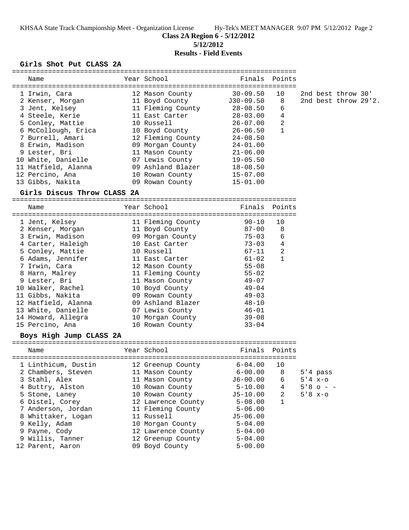KHSAA State Track Championship Meet - Organization License Hy-Tek's MEET MANAGER 9:07 PM 5/12/2012 Page 2

**Class 2A Region 6 - 5/12/2012**

**5/12/2012**

# **Results - Field Events**

#### **Girls Shot Put CLASS 2A**

| Name                        | Year School        | Finals       | Points         |             |                      |  |
|-----------------------------|--------------------|--------------|----------------|-------------|----------------------|--|
| 1 Irwin, Cara               | 12 Mason County    | $30 - 09.50$ | 10             |             | 2nd best throw 30'   |  |
| 2 Kenser, Morgan            | 11 Boyd County     | $J30-09.50$  | 8              |             | 2nd best throw 29'2. |  |
| 3 Jent, Kelsey              | 11 Fleming County  | $28 - 08.50$ | 6              |             |                      |  |
| 4 Steele, Kerie             | 11 East Carter     | $28 - 03.00$ | $\overline{4}$ |             |                      |  |
| 5 Conley, Mattie            | 10 Russell         | $26 - 07.00$ | 2              |             |                      |  |
| 6 McCollough, Erica         | 10 Boyd County     | $26 - 06.50$ | 1              |             |                      |  |
| 7 Burrell, Amari            | 12 Fleming County  | 24-08.50     |                |             |                      |  |
| 8 Erwin, Madison            | 09 Morgan County   | 24-01.00     |                |             |                      |  |
| 9 Lester, Bri               | 11 Mason County    | $21 - 06.00$ |                |             |                      |  |
| 10 White, Danielle          | 07 Lewis County    | $19 - 05.50$ |                |             |                      |  |
| 11 Hatfield, Alanna         | 09 Ashland Blazer  | $18 - 08.50$ |                |             |                      |  |
| 12 Percino, Ana             | 10 Rowan County    | $15-07.00$   |                |             |                      |  |
| 13 Gibbs, Nakita            | 09 Rowan County    | $15 - 01.00$ |                |             |                      |  |
| Girls Discus Throw CLASS 2A |                    |              |                |             |                      |  |
|                             |                    |              |                |             |                      |  |
| Name                        | Year School        | Finals       | Points         |             |                      |  |
| 1 Jent, Kelsey              | 11 Fleming County  | $90 - 10$    | 10             |             |                      |  |
| 2 Kenser, Morgan            | 11 Boyd County     | $87 - 00$    | 8              |             |                      |  |
| 3 Erwin, Madison            | 09 Morgan County   | $75 - 03$    | 6              |             |                      |  |
| 4 Carter, Haleigh           | 10 East Carter     | $73 - 03$    | 4              |             |                      |  |
| 5 Conley, Mattie            | 10 Russell         | 67-11        | 2              |             |                      |  |
| 6 Adams, Jennifer           | 11 East Carter     | $61 - 02$    | 1              |             |                      |  |
| 7 Irwin, Cara               | 12 Mason County    | $55 - 08$    |                |             |                      |  |
| 8 Harn, Malrey              | 11 Fleming County  | $55 - 02$    |                |             |                      |  |
| 9 Lester, Bri               | 11 Mason County    | $49 - 07$    |                |             |                      |  |
| 10 Walker, Rachel           | 10 Boyd County     | $49 - 04$    |                |             |                      |  |
| 11 Gibbs, Nakita            | 09 Rowan County    | $49 - 03$    |                |             |                      |  |
| 12 Hatfield, Alanna         | 09 Ashland Blazer  | $48 - 10$    |                |             |                      |  |
| 13 White, Danielle          | 07 Lewis County    | $46 - 01$    |                |             |                      |  |
| 14 Howard, Allegra          | 10 Morgan County   | $39 - 08$    |                |             |                      |  |
| 15 Percino, Ana             | 10 Rowan County    | $33 - 04$    |                |             |                      |  |
| Boys High Jump CLASS 2A     |                    |              |                |             |                      |  |
| Name                        | Year School        | Finals       | Points         |             |                      |  |
|                             |                    |              |                |             |                      |  |
| 1 Linthicum, Dustin         | 12 Greenup County  | $6 - 04.00$  | 10             |             |                      |  |
| 2 Chambers, Steven          | 11 Mason County    | $6 - 00.00$  | 8              | $5'4$ pass  |                      |  |
| 3 Stahl, Alex               | 11 Mason County    | $J6 - 00.00$ | 6              | $5'4 x-0$   |                      |  |
| 4 Buttry, Alston            | 10 Rowan County    | $5 - 10.00$  | 4              | $5'8$ o - - |                      |  |
| 5 Stone, Laney              | 10 Rowan County    | $J5 - 10.00$ | 2              | $5'8 x-o$   |                      |  |
| 6 Distel, Corey             | 12 Lawrence County | $5 - 08.00$  | $\mathbf{1}$   |             |                      |  |
| 7 Anderson, Jordan          | 11 Fleming County  | $5 - 06.00$  |                |             |                      |  |
| 8 Whittaker, Logan          | 11 Russell         | $J5 - 06.00$ |                |             |                      |  |
| 9 Kelly, Adam               | 10 Morgan County   | $5 - 04.00$  |                |             |                      |  |
| 9 Payne, Cody               | 12 Lawrence County | $5 - 04.00$  |                |             |                      |  |
| 9 Willis, Tanner            | 12 Greenup County  | $5 - 04.00$  |                |             |                      |  |
| 12 Parent, Aaron            | 09 Boyd County     | $5 - 00.00$  |                |             |                      |  |
|                             |                    |              |                |             |                      |  |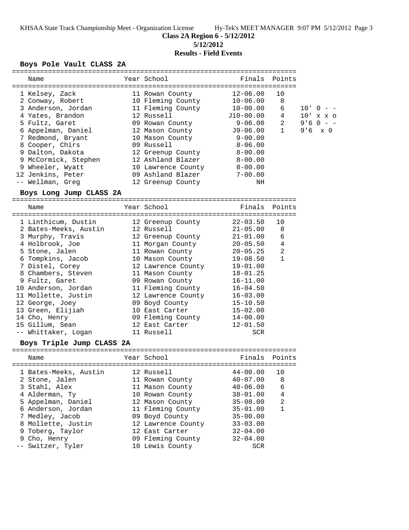KHSAA State Track Championship Meet - Organization License Hy-Tek's MEET MANAGER 9:07 PM 5/12/2012 Page 3

**Class 2A Region 6 - 5/12/2012**

**5/12/2012**

# **Results - Field Events**

### **Boys Pole Vault CLASS 2A**

| Name                      | Year School                           | Finals       | Points          |                |
|---------------------------|---------------------------------------|--------------|-----------------|----------------|
|                           |                                       |              |                 |                |
| 1 Kelsey, Zack            | 11 Rowan County                       | $12 - 06.00$ | 10              |                |
| 2 Conway, Robert          | 10 Fleming County                     | $10 - 06.00$ | 8               |                |
| 3 Anderson, Jordan        | 11 Fleming County                     | 10-00.00     | 6               | $10'$ 0 - -    |
| 4 Yates, Brandon          | 12 Russell                            | $J10-00.00$  | $4\overline{ }$ | 10' x x o      |
| 5 Fultz, Garet            | 09 Rowan County                       | 9-06.00      | 2               | $9'60 - -$     |
| 6 Appelman, Daniel        | 12 Mason County                       | $J9-06.00$   | $\mathbf{1}$    | $9'6 \times 0$ |
| 7 Redmond, Bryant         | 10 Mason County                       | $9 - 00.00$  |                 |                |
| 8 Cooper, Chirs           | 09 Russell                            | 8-06.00      |                 |                |
| 9 Dalton, Dakota          | 12 Greenup County                     | 8-00.00      |                 |                |
| 9 McCormick, Stephen      | 12 Ashland Blazer                     | $8 - 00.00$  |                 |                |
| 9 Wheeler, Wyatt          | 10 Lawrence County                    | $8-00.00$    |                 |                |
| 12 Jenkins, Peter         | 09 Ashland Blazer                     | $7 - 00.00$  |                 |                |
| -- Wellman, Greg          | 12 Greenup County                     | ΝH           |                 |                |
| Boys Long Jump CLASS 2A   |                                       |              |                 |                |
|                           |                                       |              |                 |                |
| Name                      | Year School                           | Finals       | Points          |                |
| 1 Linthicum, Dustin       | 12 Greenup County                     | $22 - 03.50$ | 10              |                |
| 2 Bates-Meeks, Austin     | 12 Russell                            | $21 - 05.00$ | 8               |                |
| 3 Murphy, Travis          |                                       | 21-01.00     | 6               |                |
| 4 Holbrook, Joe           | 12 Greenup County<br>11 Morgan County | $20 - 05.50$ | 4               |                |
|                           |                                       |              | 2               |                |
| 5 Stone, Jalen            | 11 Rowan County                       | $20 - 05.25$ | $\mathbf{1}$    |                |
| 6 Tompkins, Jacob         | 10 Mason County                       | $19 - 08.50$ |                 |                |
| 7 Distel, Corey           | 12 Lawrence County                    | $19 - 01.00$ |                 |                |
| 8 Chambers, Steven        | 11 Mason County                       | 18-01.25     |                 |                |
| 9 Fultz, Garet            | 09 Rowan County                       | $16 - 11.00$ |                 |                |
| 10 Anderson, Jordan       | 11 Fleming County                     | $16 - 04.50$ |                 |                |
| 11 Mollette, Justin       | 12 Lawrence County 16-03.00           |              |                 |                |
| 12 George, Joey           | 09 Boyd County                        | $15 - 10.50$ |                 |                |
| 13 Green, Elijiah         | 10 East Carter                        | 15-02.00     |                 |                |
| 14 Cho, Henry             | 09 Fleming County                     | $14 - 00.00$ |                 |                |
| 15 Gillum, Sean           | 12 East Carter                        | $12 - 01.50$ |                 |                |
| -- Whittaker, Logan       | 11 Russell                            | <b>SCR</b>   |                 |                |
| Boys Triple Jump CLASS 2A |                                       |              |                 |                |
|                           | Year School                           |              |                 |                |
| Name                      |                                       | Finals       | Points          |                |
| 1 Bates-Meeks, Austin     | 12 Russell                            | $44 - 00.00$ | 10              |                |
| 2 Stone, Jalen            | 11 Rowan County                       | $40 - 07.00$ | 8               |                |
| 3 Stahl, Alex             | 11 Mason County                       | $40 - 06.00$ | 6               |                |
| 4 Alderman, Ty            | 10 Rowan County                       | $38 - 01.00$ | $\overline{4}$  |                |
| 5 Appelman, Daniel        | 12 Mason County                       | $35 - 08.00$ | 2               |                |
| 6 Anderson, Jordan        | 11 Fleming County                     | $35 - 01.00$ | $\mathbf{1}$    |                |
| 7 Medley, Jacob           | 09 Boyd County                        | $35 - 00.00$ |                 |                |
| 8 Mollette, Justin        | 12 Lawrence County                    | $33 - 03.00$ |                 |                |
|                           |                                       | $32 - 04.00$ |                 |                |
| 9 Toberg, Taylor          | 12 East Carter                        |              |                 |                |
| 9 Cho, Henry              | 09 Fleming County                     | $32 - 04.00$ |                 |                |
| Switzer, Tyler            | 10 Lewis County                       | SCR          |                 |                |